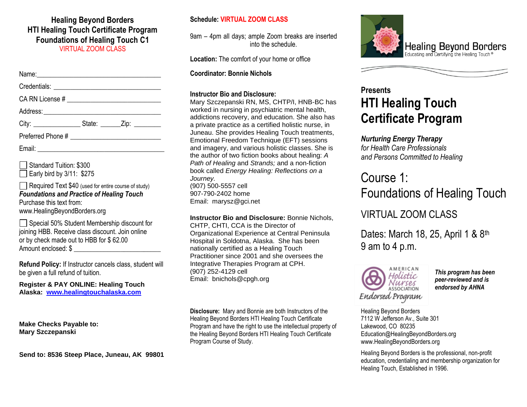#### **Healing Beyond Borders HTI Healing Touch Certificate Program Foundations of Healing Touch C1** VIRTUAL ZOOM CLASS

Standard Tuition: \$300  $\Box$  Early bird by 3/11: \$275

Required Text \$40 (used for entire course of study) *Foundations and Practice of Healing Touch* Purchase this text from: www.HealingBeyondBorders.org

Special 50% Student Membership discount for joining HBB. Receive class discount. Join online or by check made out to HBB for \$ 62.00 Amount enclosed: \$ \_\_\_\_\_\_\_\_\_\_\_\_\_\_\_\_\_\_\_\_\_\_\_\_\_\_

**Refund Policy:** If Instructor cancels class, student will be given a full refund of tuition.

**Register & PAY ONLINE: Healing Touch Alaska: [www.healingtouchalaska.com](http://www.healingtouchalaska.com/)**

**Make Checks Payable to: Mary Szczepanski**

**Send to: 8536 Steep Place, Juneau, AK 99801**

#### **Schedule: VIRTUAL ZOOM CLASS**

9am – 4pm all days; ample Zoom breaks are inserted into the schedule.

**Location:** The comfort of your home or office

**Coordinator: Bonnie Nichols** 

#### **Instructor Bio and Disclosure:**

Mary Szczepanski RN, MS, CHTP/I, HNB-BC has worked in nursing in psychiatric mental health, addictions recovery, and education. She also has a private practice as a certified holistic nurse, in Juneau. She provides Healing Touch treatments, Emotional Freedom Technique (EFT) sessions and imagery, and various holistic classes. She is the author of two fiction books about healing: *A Path of Healing* and *Strands;* and a non-fiction book called *Energy Healing: Reflections on a Journey.* (907) 500-5557 cell 907-790-2402 home Email: marysz@gci.net

**Instructor Bio and Disclosure:** Bonnie Nichols, CHTP, CHTI, CCA is the Director of Organizational Experience at Central Peninsula Hospital in Soldotna, Alaska. She has been nationally certified as a Healing Touch Practitioner since 2001 and she oversees the Integrative Therapies Program at CPH. (907) 252-4129 cell Email: bnichols@cpgh.org

**Disclosure:** Mary and Bonnie are both Instructors of the Healing Beyond Borders HTI Healing Touch Certificate Program and have the right to use the intellectual property of the Healing Beyond Borders HTI Healing Touch Certificate Program Course of Study.



## **Presents HTI Healing Touch Certificate Program**

### *Nurturing Energy Therapy*

*for Health Care Professionals and Persons Committed to Healing*

# Course 1: Foundations of Healing Touch

### VIRTUAL ZOOM CLASS

Dates: March 18, 25, April 1 & 8th 9 am to 4 p.m.



*This program has been peer-reviewed and is endorsed by AHNA*

Healing Beyond Borders 7112 W Jefferson Av., Suite 301 Lakewood, CO 80235 Education@HealingBeyondBorders.org www.HealingBeyondBorders.org

Healing Beyond Borders is the professional, non-profit education, credentialing and membership organization for Healing Touch, Established in 1996.